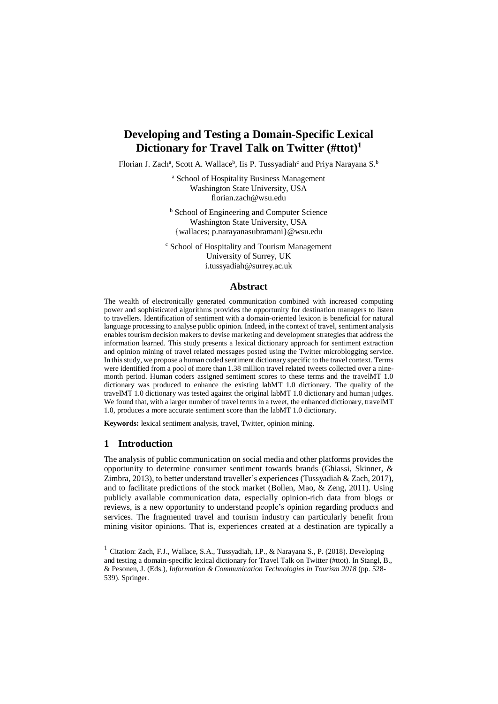# **Developing and Testing a Domain-Specific Lexical Dictionary for Travel Talk on Twitter (#ttot)<sup>1</sup>**

Florian J. Zach<sup>a</sup>, Scott A. Wallace<sup>b</sup>, Iis P. Tussyadiah<sup>c</sup> and Priya Narayana S.<sup>b</sup>

<sup>a</sup> School of Hospitality Business Management Washington State University, USA florian.zach@wsu.edu

**b** School of Engineering and Computer Science Washington State University, USA {wallaces; p.narayanasubramani}@wsu.edu

<sup>c</sup> School of Hospitality and Tourism Management University of Surrey, UK i.tussyadiah@surrey.ac.uk

### **Abstract**

The wealth of electronically generated communication combined with increased computing power and sophisticated algorithms provides the opportunity for destination managers to listen to travellers. Identification of sentiment with a domain-oriented lexicon is beneficial for natural language processing to analyse public opinion. Indeed, in the context of travel, sentiment analysis enables tourism decision makers to devise marketing and development strategies that address the information learned. This study presents a lexical dictionary approach for sentiment extraction and opinion mining of travel related messages posted using the Twitter microblogging service. In this study, we propose a human coded sentiment dictionary specific to the travel context. Terms were identified from a pool of more than 1.38 million travel related tweets collected over a ninemonth period. Human coders assigned sentiment scores to these terms and the travelMT 1.0 dictionary was produced to enhance the existing labMT 1.0 dictionary. The quality of the travelMT 1.0 dictionary was tested against the original labMT 1.0 dictionary and human judges. We found that, with a larger number of travel terms in a tweet, the enhanced dictionary, travelMT 1.0, produces a more accurate sentiment score than the labMT 1.0 dictionary.

**Keywords:** lexical sentiment analysis, travel, Twitter, opinion mining.

### **1 Introduction**

1

The analysis of public communication on social media and other platforms provides the opportunity to determine consumer sentiment towards brands (Ghiassi, Skinner, & Zimbra, 2013), to better understand traveller's experiences (Tussyadiah & Zach, 2017), and to facilitate predictions of the stock market (Bollen, Mao, & Zeng, 2011). Using publicly available communication data, especially opinion-rich data from blogs or reviews, is a new opportunity to understand people's opinion regarding products and services. The fragmented travel and tourism industry can particularly benefit from mining visitor opinions. That is, experiences created at a destination are typically a

<sup>1</sup> Citation: Zach, F.J., Wallace, S.A., Tussyadiah, I.P., & Narayana S., P. (2018). Developing and testing a domain-specific lexical dictionary for Travel Talk on Twitter (#ttot). In Stangl, B., & Pesonen, J. (Eds.), *Information & Communication Technologies in Tourism 2018* (pp. 528- 539). Springer.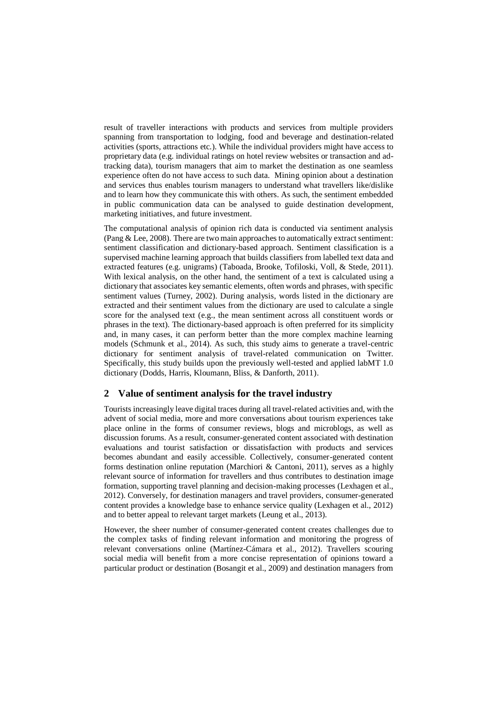result of traveller interactions with products and services from multiple providers spanning from transportation to lodging, food and beverage and destination-related activities (sports, attractions etc.). While the individual providers might have access to proprietary data (e.g. individual ratings on hotel review websites or transaction and adtracking data), tourism managers that aim to market the destination as one seamless experience often do not have access to such data. Mining opinion about a destination and services thus enables tourism managers to understand what travellers like/dislike and to learn how they communicate this with others. As such, the sentiment embedded in public communication data can be analysed to guide destination development, marketing initiatives, and future investment.

The computational analysis of opinion rich data is conducted via sentiment analysis (Pang & Lee, 2008). There are two main approaches to automatically extract sentiment: sentiment classification and dictionary-based approach. Sentiment classification is a supervised machine learning approach that builds classifiers from labelled text data and extracted features (e.g. unigrams) (Taboada, Brooke, Tofiloski, Voll, & Stede, 2011). With lexical analysis, on the other hand, the sentiment of a text is calculated using a dictionary that associates key semantic elements, often words and phrases, with specific sentiment values (Turney, 2002). During analysis, words listed in the dictionary are extracted and their sentiment values from the dictionary are used to calculate a single score for the analysed text (e.g., the mean sentiment across all constituent words or phrases in the text). The dictionary-based approach is often preferred for its simplicity and, in many cases, it can perform better than the more complex machine learning models (Schmunk et al., 2014). As such, this study aims to generate a travel-centric dictionary for sentiment analysis of travel-related communication on Twitter. Specifically, this study builds upon the previously well-tested and applied labMT 1.0 dictionary (Dodds, Harris, Kloumann, Bliss, & Danforth, 2011).

### **2 Value of sentiment analysis for the travel industry**

Tourists increasingly leave digital traces during all travel-related activities and, with the advent of social media, more and more conversations about tourism experiences take place online in the forms of consumer reviews, blogs and microblogs, as well as discussion forums. As a result, consumer-generated content associated with destination evaluations and tourist satisfaction or dissatisfaction with products and services becomes abundant and easily accessible. Collectively, consumer-generated content forms destination online reputation (Marchiori & Cantoni, 2011), serves as a highly relevant source of information for travellers and thus contributes to destination image formation, supporting travel planning and decision-making processes (Lexhagen et al., 2012). Conversely, for destination managers and travel providers, consumer-generated content provides a knowledge base to enhance service quality (Lexhagen et al., 2012) and to better appeal to relevant target markets (Leung et al., 2013).

However, the sheer number of consumer-generated content creates challenges due to the complex tasks of finding relevant information and monitoring the progress of relevant conversations online (Martínez-Cámara et al., 2012). Travellers scouring social media will benefit from a more concise representation of opinions toward a particular product or destination (Bosangit et al., 2009) and destination managers from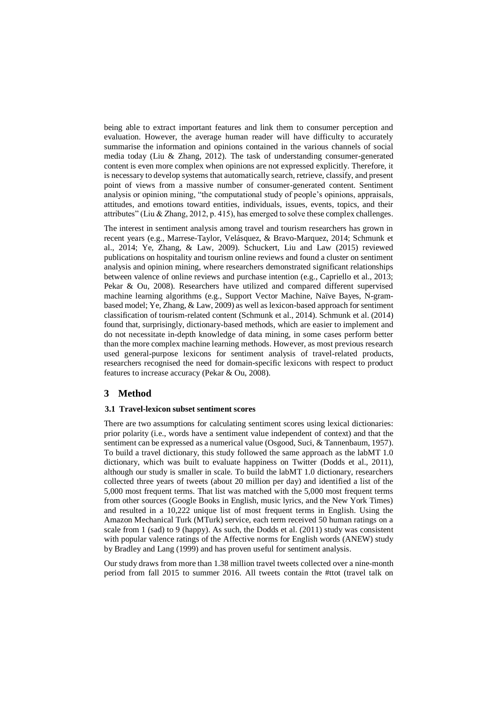being able to extract important features and link them to consumer perception and evaluation. However, the average human reader will have difficulty to accurately summarise the information and opinions contained in the various channels of social media today (Liu & Zhang, 2012). The task of understanding consumer-generated content is even more complex when opinions are not expressed explicitly. Therefore, it is necessary to develop systems that automatically search, retrieve, classify, and present point of views from a massive number of consumer-generated content. Sentiment analysis or opinion mining, "the computational study of people's opinions, appraisals, attitudes, and emotions toward entities, individuals, issues, events, topics, and their attributes" (Liu & Zhang, 2012, p. 415), has emerged to solve these complex challenges.

The interest in sentiment analysis among travel and tourism researchers has grown in recent years (e.g., Marrese-Taylor, Velásquez, & Bravo-Marquez, 2014; Schmunk et al., 2014; Ye, Zhang, & Law, 2009). Schuckert, Liu and Law (2015) reviewed publications on hospitality and tourism online reviews and found a cluster on sentiment analysis and opinion mining, where researchers demonstrated significant relationships between valence of online reviews and purchase intention (e.g., Capriello et al., 2013; Pekar & Ou, 2008). Researchers have utilized and compared different supervised machine learning algorithms (e.g., Support Vector Machine, Naïve Bayes, N-grambased model; Ye, Zhang, & Law, 2009) as well as lexicon-based approach for sentiment classification of tourism-related content (Schmunk et al., 2014). Schmunk et al. (2014) found that, surprisingly, dictionary-based methods, which are easier to implement and do not necessitate in-depth knowledge of data mining, in some cases perform better than the more complex machine learning methods. However, as most previous research used general-purpose lexicons for sentiment analysis of travel-related products, researchers recognised the need for domain-specific lexicons with respect to product features to increase accuracy (Pekar & Ou, 2008).

### **3 Method**

#### **3.1 Travel-lexicon subset sentiment scores**

There are two assumptions for calculating sentiment scores using lexical dictionaries: prior polarity (i.e., words have a sentiment value independent of context) and that the sentiment can be expressed as a numerical value (Osgood, Suci, & Tannenbaum, 1957). To build a travel dictionary, this study followed the same approach as the labMT 1.0 dictionary, which was built to evaluate happiness on Twitter (Dodds et al., 2011), although our study is smaller in scale. To build the labMT 1.0 dictionary, researchers collected three years of tweets (about 20 million per day) and identified a list of the 5,000 most frequent terms. That list was matched with the 5,000 most frequent terms from other sources (Google Books in English, music lyrics, and the New York Times) and resulted in a 10,222 unique list of most frequent terms in English. Using the Amazon Mechanical Turk (MTurk) service, each term received 50 human ratings on a scale from 1 (sad) to 9 (happy). As such, the Dodds et al. (2011) study was consistent with popular valence ratings of the Affective norms for English words (ANEW) study by Bradley and Lang (1999) and has proven useful for sentiment analysis.

Our study draws from more than 1.38 million travel tweets collected over a nine-month period from fall 2015 to summer 2016. All tweets contain the #ttot (travel talk on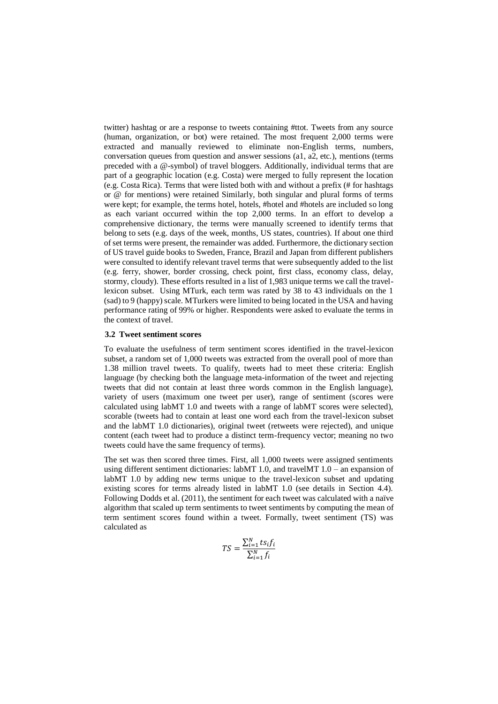twitter) hashtag or are a response to tweets containing #ttot. Tweets from any source (human, organization, or bot) were retained. The most frequent 2,000 terms were extracted and manually reviewed to eliminate non-English terms, numbers, conversation queues from question and answer sessions (a1, a2, etc.), mentions (terms preceded with a @-symbol) of travel bloggers. Additionally, individual terms that are part of a geographic location (e.g. Costa) were merged to fully represent the location (e.g. Costa Rica). Terms that were listed both with and without a prefix (# for hashtags or @ for mentions) were retained Similarly, both singular and plural forms of terms were kept; for example, the terms hotel, hotels, #hotel and #hotels are included so long as each variant occurred within the top 2,000 terms. In an effort to develop a comprehensive dictionary, the terms were manually screened to identify terms that belong to sets (e.g. days of the week, months, US states, countries). If about one third of set terms were present, the remainder was added. Furthermore, the dictionary section of US travel guide books to Sweden, France, Brazil and Japan from different publishers were consulted to identify relevant travel terms that were subsequently added to the list (e.g. ferry, shower, border crossing, check point, first class, economy class, delay, stormy, cloudy). These efforts resulted in a list of 1,983 unique terms we call the travellexicon subset. Using MTurk, each term was rated by 38 to 43 individuals on the 1 (sad) to 9 (happy) scale. MTurkers were limited to being located in the USA and having performance rating of 99% or higher. Respondents were asked to evaluate the terms in the context of travel.

#### **3.2 Tweet sentiment scores**

To evaluate the usefulness of term sentiment scores identified in the travel-lexicon subset, a random set of 1,000 tweets was extracted from the overall pool of more than 1.38 million travel tweets. To qualify, tweets had to meet these criteria: English language (by checking both the language meta-information of the tweet and rejecting tweets that did not contain at least three words common in the English language), variety of users (maximum one tweet per user), range of sentiment (scores were calculated using labMT 1.0 and tweets with a range of labMT scores were selected), scorable (tweets had to contain at least one word each from the travel-lexicon subset and the labMT 1.0 dictionaries), original tweet (retweets were rejected), and unique content (each tweet had to produce a distinct term-frequency vector; meaning no two tweets could have the same frequency of terms).

The set was then scored three times. First, all 1,000 tweets were assigned sentiments using different sentiment dictionaries: labMT 1.0, and travelMT 1.0 – an expansion of labMT 1.0 by adding new terms unique to the travel-lexicon subset and updating existing scores for terms already listed in labMT 1.0 (see details in Section 4.4). Following Dodds et al. (2011), the sentiment for each tweet was calculated with a naïve algorithm that scaled up term sentiments to tweet sentiments by computing the mean of term sentiment scores found within a tweet. Formally, tweet sentiment (TS) was calculated as

$$
TS = \frac{\sum_{i=1}^{N} t s_i f_i}{\sum_{i=1}^{N} f_i}
$$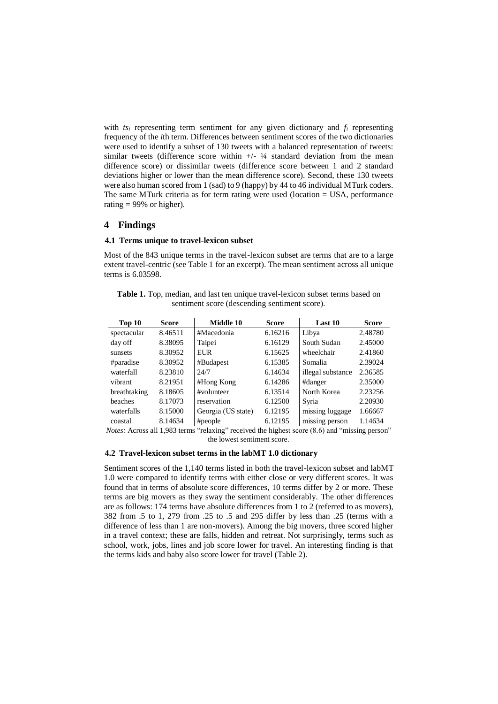with  $ts_i$  representing term sentiment for any given dictionary and  $f_i$  representing frequency of the *i*th term. Differences between sentiment scores of the two dictionaries were used to identify a subset of 130 tweets with a balanced representation of tweets: similar tweets (difference score within  $+/-$  ¼ standard deviation from the mean difference score) or dissimilar tweets (difference score between 1 and 2 standard deviations higher or lower than the mean difference score). Second, these 130 tweets were also human scored from 1 (sad) to 9 (happy) by 44 to 46 individual MTurk coders. The same MTurk criteria as for term rating were used (location = USA, performance rating  $= 99\%$  or higher).

### **4 Findings**

#### **4.1 Terms unique to travel-lexicon subset**

Most of the 843 unique terms in the travel-lexicon subset are terms that are to a large extent travel-centric (see Table 1 for an excerpt). The mean sentiment across all unique terms is 6.03598.

**Table 1.** Top, median, and last ten unique travel-lexicon subset terms based on sentiment score (descending sentiment score).

| Top 10       | Score   | Middle 10          | <b>Score</b> | Last 10           | <b>Score</b> |
|--------------|---------|--------------------|--------------|-------------------|--------------|
| spectacular  | 8.46511 | #Macedonia         | 6.16216      | Libya             | 2.48780      |
| day off      | 8.38095 | Taipei             | 6.16129      | South Sudan       | 2.45000      |
| sunsets      | 8.30952 | <b>EUR</b>         | 6.15625      | wheelchair        | 2.41860      |
| #paradise    | 8.30952 | #Budapest          | 6.15385      | Somalia           | 2.39024      |
| waterfall    | 8.23810 | 24/7               | 6.14634      | illegal substance | 2.36585      |
| vibrant      | 8.21951 | #Hong Kong         | 6.14286      | #danger           | 2.35000      |
| breathtaking | 8.18605 | #volunteer         | 6.13514      | North Korea       | 2.23256      |
| beaches      | 8.17073 | reservation        | 6.12500      | Syria             | 2.20930      |
| waterfalls   | 8.15000 | Georgia (US state) | 6.12195      | missing luggage   | 1.66667      |
| coastal      | 8.14634 | #people            | 6.12195      | missing person    | 1.14634      |

*Notes:* Across all 1,983 terms "relaxing" received the highest score (8.6) and "missing person" the lowest sentiment score.

#### **4.2 Travel-lexicon subset terms in the labMT 1.0 dictionary**

Sentiment scores of the 1,140 terms listed in both the travel-lexicon subset and labMT 1.0 were compared to identify terms with either close or very different scores. It was found that in terms of absolute score differences, 10 terms differ by 2 or more. These terms are big movers as they sway the sentiment considerably. The other differences are as follows: 174 terms have absolute differences from 1 to 2 (referred to as movers), 382 from .5 to 1, 279 from .25 to .5 and 295 differ by less than .25 (terms with a difference of less than 1 are non-movers). Among the big movers, three scored higher in a travel context; these are falls, hidden and retreat. Not surprisingly, terms such as school, work, jobs, lines and job score lower for travel. An interesting finding is that the terms kids and baby also score lower for travel (Table 2).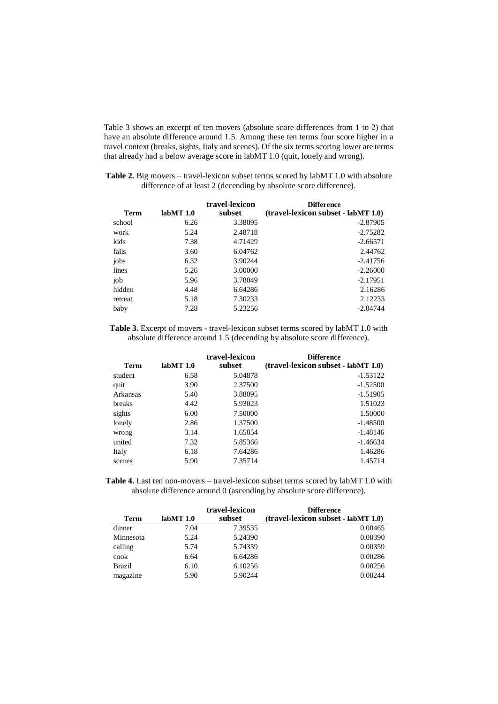Table 3 shows an excerpt of ten movers (absolute score differences from 1 to 2) that have an absolute difference around 1.5. Among these ten terms four score higher in a travel context (breaks, sights, Italy and scenes). Of the six terms scoring lower are terms that already had a below average score in labMT 1.0 (quit, lonely and wrong).

**Table 2.** Big movers – travel-lexicon subset terms scored by labMT 1.0 with absolute difference of at least 2 (decending by absolute score difference).

|             |          | travel-lexicon | <b>Difference</b>                   |
|-------------|----------|----------------|-------------------------------------|
| <b>Term</b> | labMT1.0 | subset         | (travel-lexicon subset - labMT 1.0) |
| school      | 6.26     | 3.38095        | $-2.87905$                          |
| work        | 5.24     | 2.48718        | $-2.75282$                          |
| kids        | 7.38     | 4.71429        | $-2.66571$                          |
| falls       | 3.60     | 6.04762        | 2.44762                             |
| jobs        | 6.32     | 3.90244        | $-2.41756$                          |
| lines       | 5.26     | 3.00000        | $-2.26000$                          |
| job         | 5.96     | 3.78049        | $-2.17951$                          |
| hidden      | 4.48     | 6.64286        | 2.16286                             |
| retreat     | 5.18     | 7.30233        | 2.12233                             |
| baby        | 7.28     | 5.23256        | $-2.04744$                          |

**Table 3.** Excerpt of movers - travel-lexicon subset terms scored by labMT 1.0 with absolute difference around 1.5 (decending by absolute score difference).

| <b>Term</b> | labMT1.0 | travel-lexicon<br>subset | <b>Difference</b><br>(travel-lexicon subset - labMT 1.0) |
|-------------|----------|--------------------------|----------------------------------------------------------|
| student     | 6.58     | 5.04878                  | $-1.53122$                                               |
| quit        | 3.90     | 2.37500                  | $-1.52500$                                               |
| Arkansas    | 5.40     | 3.88095                  | $-1.51905$                                               |
| breaks      | 4.42     | 5.93023                  | 1.51023                                                  |
| sights      | 6.00     | 7.50000                  | 1.50000                                                  |
| lonely      | 2.86     | 1.37500                  | $-1.48500$                                               |
| wrong       | 3.14     | 1.65854                  | $-1.48146$                                               |
| united      | 7.32     | 5.85366                  | $-1.46634$                                               |
| Italy       | 6.18     | 7.64286                  | 1.46286                                                  |
| scenes      | 5.90     | 7.35714                  | 1.45714                                                  |

**Table 4.** Last ten non-movers – travel-lexicon subset terms scored by labMT 1.0 with absolute difference around 0 (ascending by absolute score difference).

| <b>Term</b>   | labMT1.0 | travel-lexicon<br>subset | <b>Difference</b><br>(travel-lexicon subset - labMT 1.0) |
|---------------|----------|--------------------------|----------------------------------------------------------|
| dinner        | 7.04     | 7.39535                  | 0.00465                                                  |
| Minnesota     | 5.24     | 5.24390                  | 0.00390                                                  |
| calling       | 5.74     | 5.74359                  | 0.00359                                                  |
| cook          | 6.64     | 6.64286                  | 0.00286                                                  |
| <b>Brazil</b> | 6.10     | 6.10256                  | 0.00256                                                  |
| magazine      | 5.90     | 5.90244                  | 0.00244                                                  |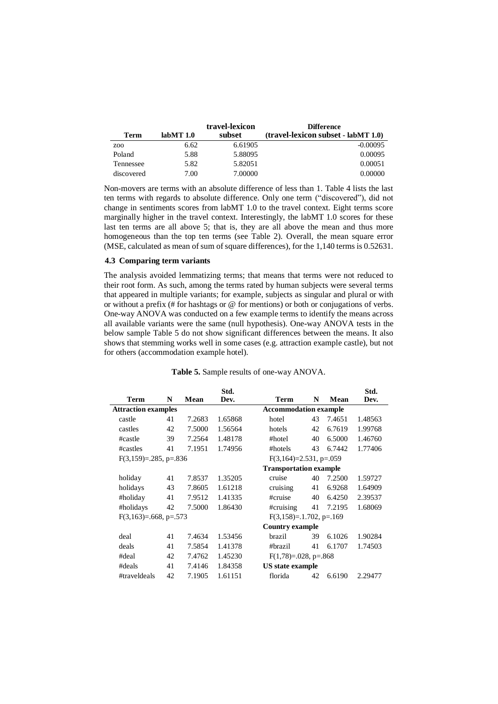|                 |          | travel-lexicon | <b>Difference</b>                   |
|-----------------|----------|----------------|-------------------------------------|
| Term            | labMT1.0 | subset         | (travel-lexicon subset - labMT 1.0) |
| Z <sub>00</sub> | 6.62     | 6.61905        | $-0.00095$                          |
| Poland          | 5.88     | 5.88095        | 0.00095                             |
| Tennessee       | 5.82     | 5.82051        | 0.00051                             |
| discovered      | 7.00     | 7.00000        | 0.00000                             |

Non-movers are terms with an absolute difference of less than 1. Table 4 lists the last ten terms with regards to absolute difference. Only one term ("discovered"), did not change in sentiments scores from labMT 1.0 to the travel context. Eight terms score marginally higher in the travel context. Interestingly, the labMT 1.0 scores for these last ten terms are all above 5; that is, they are all above the mean and thus more homogeneous than the top ten terms (see Table 2). Overall, the mean square error (MSE, calculated as mean of sum of square differences), for the 1,140 terms is 0.52631.

#### **4.3 Comparing term variants**

The analysis avoided lemmatizing terms; that means that terms were not reduced to their root form. As such, among the terms rated by human subjects were several terms that appeared in multiple variants; for example, subjects as singular and plural or with or without a prefix (# for hashtags or @ for mentions) or both or conjugations of verbs. One-way ANOVA was conducted on a few example terms to identify the means across all available variants were the same (null hypothesis). One-way ANOVA tests in the below sample Table 5 do not show significant differences between the means. It also shows that stemming works well in some cases (e.g. attraction example castle), but not for others (accommodation example hotel).

|                               |    |        | Std.    |                               |    |        | Std.    |
|-------------------------------|----|--------|---------|-------------------------------|----|--------|---------|
| <b>Term</b>                   | N  | Mean   | Dev.    | <b>Term</b>                   | N  | Mean   | Dev.    |
| <b>Attraction examples</b>    |    |        |         | <b>Accommodation example</b>  |    |        |         |
| castle                        | 41 | 7.2683 | 1.65868 | hotel                         | 43 | 7.4651 | 1.48563 |
| castles                       | 42 | 7.5000 | 1.56564 | hotels                        | 42 | 6.7619 | 1.99768 |
| #castle                       | 39 | 7.2564 | 1.48178 | #hotel                        | 40 | 6.5000 | 1.46760 |
| #castles                      | 41 | 7.1951 | 1.74956 | #hotels                       | 43 | 6.7442 | 1.77406 |
| $F(3,159)=0.285$ , p= $0.836$ |    |        |         | $F(3,164)=2.531, p=.059$      |    |        |         |
|                               |    |        |         | <b>Transportation example</b> |    |        |         |
| holiday                       | 41 | 7.8537 | 1.35205 | cruise                        | 40 | 7.2500 | 1.59727 |
| holidays                      | 43 | 7.8605 | 1.61218 | cruising                      | 41 | 6.9268 | 1.64909 |
| #holiday                      | 41 | 7.9512 | 1.41335 | #cruise                       | 40 | 6.4250 | 2.39537 |
| #holidays                     | 42 | 7.5000 | 1.86430 | #cruising                     | 41 | 7.2195 | 1.68069 |
| $F(3,163)=0.668$ , p=.573     |    |        |         | $F(3,158)=.1.702, p=.169$     |    |        |         |
|                               |    |        |         | <b>Country example</b>        |    |        |         |
| deal                          | 41 | 7.4634 | 1.53456 | brazil                        | 39 | 6.1026 | 1.90284 |
| deals                         | 41 | 7.5854 | 1.41378 | #brazil                       | 41 | 6.1707 | 1.74503 |
| #deal                         | 42 | 7.4762 | 1.45230 | $F(1,78)=0.028$ , p=.868      |    |        |         |
| #deals                        | 41 | 7.4146 | 1.84358 | <b>US</b> state example       |    |        |         |
| #traveldeals                  | 42 | 7.1905 | 1.61151 | florida                       | 42 | 6.6190 | 2.29477 |
|                               |    |        |         |                               |    |        |         |

#### **Table 5.** Sample results of one-way ANOVA.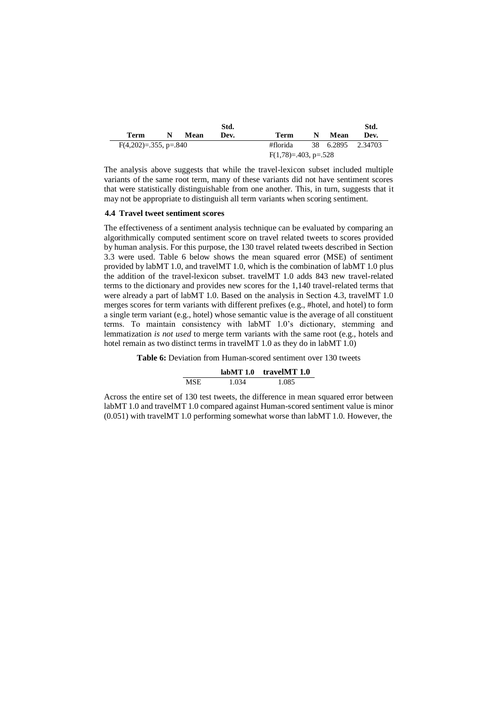|                         |      | Std. |                          |   |      | Std.              |
|-------------------------|------|------|--------------------------|---|------|-------------------|
| Term                    | Mean | Dev. | Term                     | N | Mean | Dev.              |
| $F(4,202)=355$ , p=.840 |      |      | #florida                 |   |      | 38 6.2895 2.34703 |
|                         |      |      | $F(1,78)=0.403$ , p=.528 |   |      |                   |

The analysis above suggests that while the travel-lexicon subset included multiple variants of the same root term, many of these variants did not have sentiment scores that were statistically distinguishable from one another. This, in turn, suggests that it may not be appropriate to distinguish all term variants when scoring sentiment.

#### **4.4 Travel tweet sentiment scores**

The effectiveness of a sentiment analysis technique can be evaluated by comparing an algorithmically computed sentiment score on travel related tweets to scores provided by human analysis. For this purpose, the 130 travel related tweets described in Section 3.3 were used. Table 6 below shows the mean squared error (MSE) of sentiment provided by labMT 1.0, and travelMT 1.0, which is the combination of labMT 1.0 plus the addition of the travel-lexicon subset. travelMT 1.0 adds 843 new travel-related terms to the dictionary and provides new scores for the 1,140 travel-related terms that were already a part of labMT 1.0. Based on the analysis in Section 4.3, travelMT 1.0 merges scores for term variants with different prefixes (e.g., #hotel, and hotel) to form a single term variant (e.g., hotel) whose semantic value is the average of all constituent terms. To maintain consistency with labMT 1.0's dictionary, stemming and lemmatization *is not used* to merge term variants with the same root (e.g., hotels and hotel remain as two distinct terms in travelMT 1.0 as they do in labMT 1.0)

**Table 6:** Deviation from Human-scored sentiment over 130 tweets

|      |       | labMT $1.0$ travelMT $1.0$ |
|------|-------|----------------------------|
| MSE. | 1.034 | 1.085                      |

Across the entire set of 130 test tweets, the difference in mean squared error between labMT 1.0 and travelMT 1.0 compared against Human-scored sentiment value is minor (0.051) with travelMT 1.0 performing somewhat worse than labMT 1.0. However, the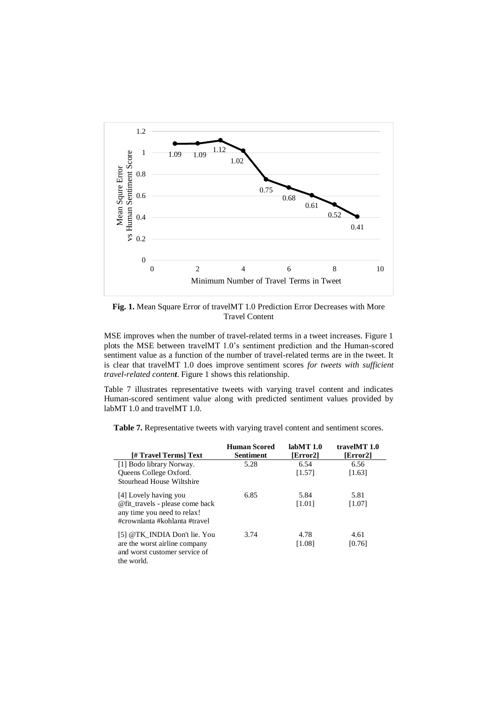

**Fig. 1.** Mean Square Error of travelMT 1.0 Prediction Error Decreases with More Travel Content

MSE improves when the number of travel-related terms in a tweet increases. Figure 1 plots the MSE between travelMT 1.0's sentiment prediction and the Human-scored sentiment value as a function of the number of travel-related terms are in the tweet. It is clear that travelMT 1.0 does improve sentiment scores *for tweets with sufficient travel-related content*. Figure 1 shows this relationship.

Table 7 illustrates representative tweets with varying travel content and indicates Human-scored sentiment value along with predicted sentiment values provided by labMT 1.0 and travelMT 1.0.

**Table 7.** Representative tweets with varying travel content and sentiment scores.

|                                                                                                 | <b>Human Scored</b> | labMT1.0 | travelMT 1.0 |
|-------------------------------------------------------------------------------------------------|---------------------|----------|--------------|
| [# Travel Terms] Text                                                                           | Sentiment           | [Error2] | [Error2]     |
| [1] Bodo library Norway.                                                                        | 5.28                | 6.54     | 6.56         |
| Queens College Oxford.                                                                          |                     | [1.57]   | [1.63]       |
| Stourhead House Wiltshire                                                                       |                     |          |              |
| [4] Lovely having you                                                                           | 6.85                | 5.84     | 5.81         |
| @fit_travels - please come back<br>any time you need to relax!<br>#crownlanta #kohlanta #travel |                     | [1.01]   | [1.07]       |
| [5] @TK INDIA Don't lie. You                                                                    | 3.74                | 4.78     | 4.61         |
| are the worst airline company                                                                   |                     | [1.08]   | [0.76]       |
| and worst customer service of                                                                   |                     |          |              |
| the world.                                                                                      |                     |          |              |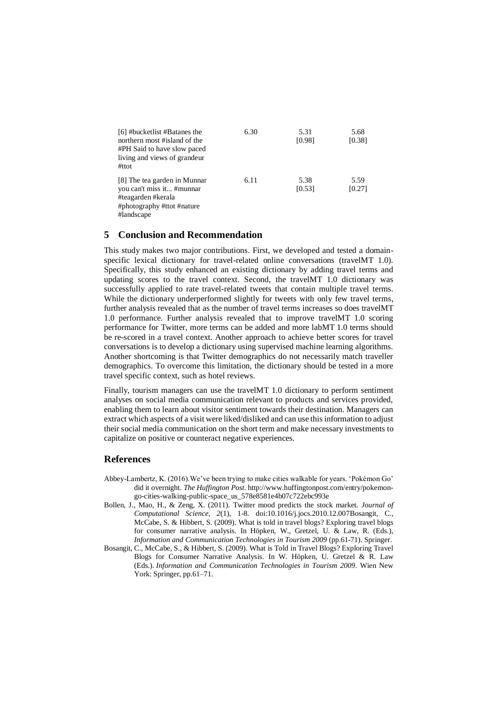| [6] #bucketlist #Batanes the<br>northern most #island of the<br>#PH Said to have slow paced<br>living and views of grandeur<br>#ttot | 6.30 | 5.31<br>[0.98] | 5.68<br>[0.38] |
|--------------------------------------------------------------------------------------------------------------------------------------|------|----------------|----------------|
| [8] The tea garden in Munnar<br>you can't miss it #munnar<br>#teagarden #kerala<br>#photography #ttot #nature<br>#landscape          | 6.11 | 5.38<br>[0.53] | 5.59<br>[0.27] |

## **5 Conclusion and Recommendation**

This study makes two major contributions. First, we developed and tested a domainspecific lexical dictionary for travel-related online conversations (travelMT 1.0). Specifically, this study enhanced an existing dictionary by adding travel terms and updating scores to the travel context. Second, the travelMT 1.0 dictionary was successfully applied to rate travel-related tweets that contain multiple travel terms. While the dictionary underperformed slightly for tweets with only few travel terms, further analysis revealed that as the number of travel terms increases so does travelMT 1.0 performance. Further analysis revealed that to improve travelMT 1.0 scoring performance for Twitter, more terms can be added and more labMT 1.0 terms should be re-scored in a travel context. Another approach to achieve better scores for travel conversations is to develop a dictionary using supervised machine learning algorithms. Another shortcoming is that Twitter demographics do not necessarily match traveller demographics. To overcome this limitation, the dictionary should be tested in a more travel specific context, such as hotel reviews.

Finally, tourism managers can use the travelMT 1.0 dictionary to perform sentiment analyses on social media communication relevant to products and services provided, enabling them to learn about visitor sentiment towards their destination. Managers can extract which aspects of a visit were liked/disliked and can use this information to adjust their social media communication on the short term and make necessary investments to capitalize on positive or counteract negative experiences.

### **References**

- Abbey-Lambertz, K. (2016).We've been trying to make cities walkable for years. 'Pokémon Go' did it overnight. *The Huffington Post*. http://www.huffingtonpost.com/entry/pokemongo-cities-walking-public-space\_us\_578e8581e4b07c722ebc993e
- Bollen, J., Mao, H., & Zeng, X. (2011). Twitter mood predicts the stock market. *Journal of Computational Science, 2*(1), 1-8. doi:10.1016/j.jocs.2010.12.007Bosangit, C., McCabe, S. & Hibbert, S. (2009). What is told in travel blogs? Exploring travel blogs for consumer narrative analysis. In Höpken, W., Gretzel, U. & Law, R. (Eds.), *Information and Communication Technologies in Tourism 2009* (pp.61-71). Springer.
- Bosangit, C., McCabe, S., & Hibbert, S. (2009). What is Told in Travel Blogs? Exploring Travel Blogs for Consumer Narrative Analysis. In W. Höpken, U. Gretzel & R. Law (Eds.). *Information and Communication Technologies in Tourism 2009*. Wien New York: Springer, pp.61–71.